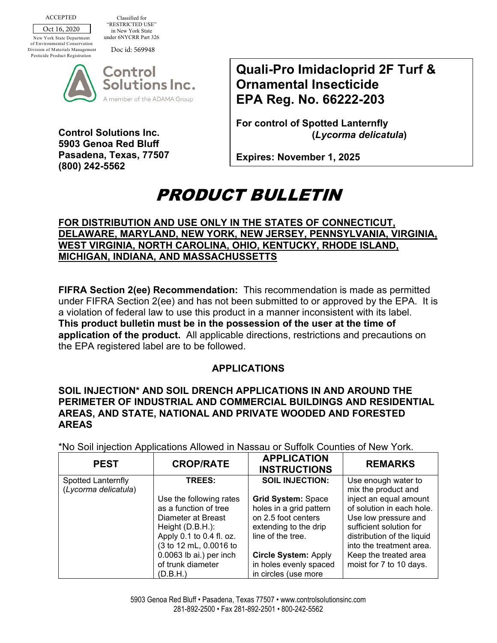Oct 16, 2020 ACCEPTED

Classified for "RESTRICTED USE" in New York State under 6NYCRR Part 326

New York State Department of Environmental Conservation Division of Materials Management Pesticide Product Registration

Doc id: 569948



**Control Solutions Inc. 5903 Genoa Red Bluff Pasadena, Texas, 77507 (800) 242-5562**

**Quali-Pro Imidacloprid 2F Turf & Ornamental Insecticide EPA Reg. No. 66222-203** 

**For control of Spotted Lanternfly (***Lycorma delicatula***)** 

**Expires: November 1, 2025**

## PRODUCT BULLETIN

## **FOR DISTRIBUTION AND USE ONLY IN THE STATES OF CONNECTICUT, DELAWARE, MARYLAND, NEW YORK, NEW JERSEY, PENNSYLVANIA, VIRGINIA, WEST VIRGINIA, NORTH CAROLINA, OHIO, KENTUCKY, RHODE ISLAND, MICHIGAN, INDIANA, AND MASSACHUSSETTS**

**FIFRA Section 2(ee) Recommendation:** This recommendation is made as permitted under FIFRA Section 2(ee) and has not been submitted to or approved by the EPA. It is a violation of federal law to use this product in a manner inconsistent with its label. **This product bulletin must be in the possession of the user at the time of application of the product.** All applicable directions, restrictions and precautions on the EPA registered label are to be followed.

## **APPLICATIONS**

## **SOIL INJECTION\* AND SOIL DRENCH APPLICATIONS IN AND AROUND THE PERIMETER OF INDUSTRIAL AND COMMERCIAL BUILDINGS AND RESIDENTIAL AREAS, AND STATE, NATIONAL AND PRIVATE WOODED AND FORESTED AREAS**

\*No Soil injection Applications Allowed in Nassau or Suffolk Counties of New York.

| <b>CROP/RATE</b>                                                                                                                                                                                    | <b>APPLICATION</b><br><b>INSTRUCTIONS</b>                                                                                                                                          | <b>REMARKS</b>                                                                                                                                                                                                       |
|-----------------------------------------------------------------------------------------------------------------------------------------------------------------------------------------------------|------------------------------------------------------------------------------------------------------------------------------------------------------------------------------------|----------------------------------------------------------------------------------------------------------------------------------------------------------------------------------------------------------------------|
| <b>TREES:</b>                                                                                                                                                                                       | <b>SOIL INJECTION:</b>                                                                                                                                                             | Use enough water to<br>mix the product and                                                                                                                                                                           |
| Use the following rates<br>as a function of tree<br>Diameter at Breast<br>Height $(D.B.H.)$ :<br>Apply 0.1 to 0.4 fl. oz.<br>(3 to 12 mL, 0.0016 to<br>0.0063 lb ai.) per inch<br>of trunk diameter | <b>Grid System: Space</b><br>holes in a grid pattern<br>on 2.5 foot centers<br>extending to the drip<br>line of the tree.<br><b>Circle System: Apply</b><br>in holes evenly spaced | inject an equal amount<br>of solution in each hole.<br>Use low pressure and<br>sufficient solution for<br>distribution of the liquid<br>into the treatment area.<br>Keep the treated area<br>moist for 7 to 10 days. |
|                                                                                                                                                                                                     | (D.B.H.)                                                                                                                                                                           | in circles (use more                                                                                                                                                                                                 |